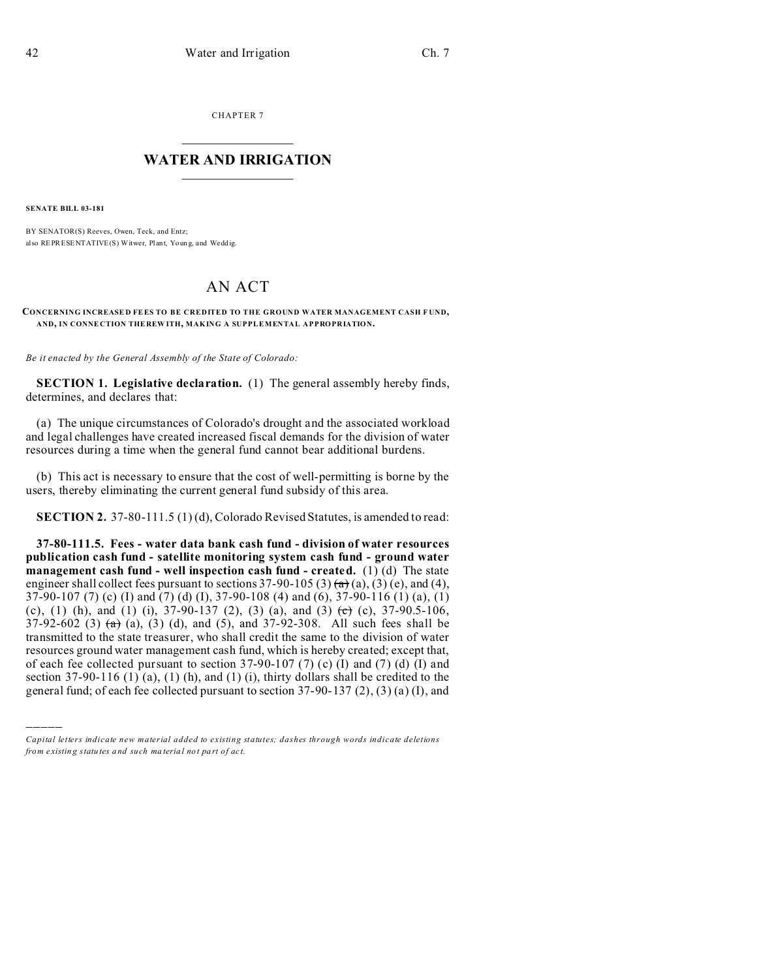CHAPTER 7  $\overline{\phantom{a}}$  , where  $\overline{\phantom{a}}$ 

### **WATER AND IRRIGATION**  $\_$   $\_$   $\_$   $\_$   $\_$   $\_$   $\_$   $\_$   $\_$

**SENATE BILL 03-181**

)))))

BY SENATOR(S) Reeves, Owen, Teck, and Entz; also REPRESENTATIVE(S) Witwer, Plant, Youn g, and Wedd ig.

# AN ACT

#### **CONCERNING INCREASE D FEES TO BE CREDITED TO THE GROUND WATER MANAGEMENT CASH F UND, AND, IN CONNE CTION THE REW ITH, MAKING A SUPPLEMENTAL APPROPRIATION.**

*Be it enacted by the General Assembly of the State of Colorado:*

**SECTION 1. Legislative declaration.** (1) The general assembly hereby finds, determines, and declares that:

(a) The unique circumstances of Colorado's drought and the associated workload and legal challenges have created increased fiscal demands for the division of water resources during a time when the general fund cannot bear additional burdens.

(b) This act is necessary to ensure that the cost of well-permitting is borne by the users, thereby eliminating the current general fund subsidy of this area.

**SECTION 2.** 37-80-111.5 (1) (d), Colorado Revised Statutes, is amended to read:

**37-80-111.5. Fees - water data bank cash fund - division of water resources publication cash fund - satellite monitoring system cash fund - ground water management cash fund - well inspection cash fund - created.** (1) (d) The state engineer shall collect fees pursuant to sections  $37-90-105(3)$  (a),  $(3)$  (e), and (4), 37-90-107 (7) (c) (I) and (7) (d) (I), 37-90-108 (4) and (6), 37-90-116 (1) (a), (1) (c), (1) (h), and (1) (i),  $37-90-137$  (2), (3) (a), and (3) (c) (c),  $37-90.5-106$ , 37-92-602 (3)  $(a)$ ,  $(b)$ ,  $(c)$ ,  $(d)$ , and  $(d)$ , and  $37$ -92-308. All such fees shall be transmitted to the state treasurer, who shall credit the same to the division of water resources ground water management cash fund, which is hereby created; except that, of each fee collected pursuant to section  $37-90-107$  (7) (c) (I) and (7) (d) (I) and section 37-90-116 (1) (a), (1) (h), and (1) (i), thirty dollars shall be credited to the general fund; of each fee collected pursuant to section 37-90-137 (2), (3) (a) (I), and

*Capital letters indicate new material added to existing statutes; dashes through words indicate deletions from e xistin g statu tes a nd such ma teria l no t pa rt of ac t.*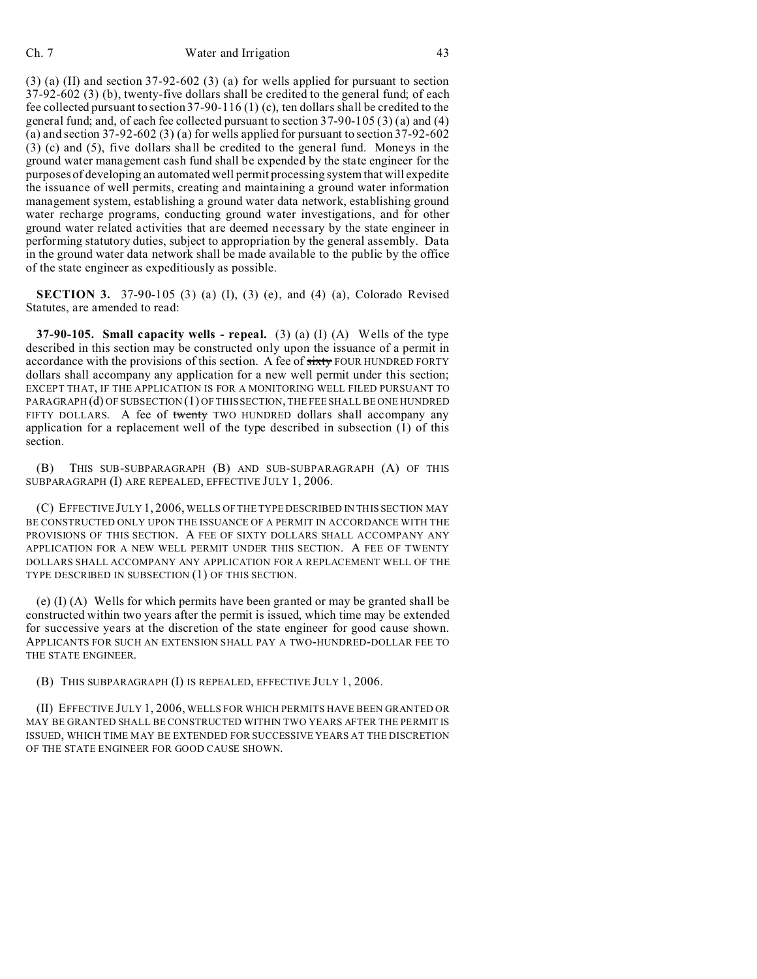#### Ch. 7 Water and Irrigation 43

 $(3)$  (a) (II) and section 37-92-602 (3) (a) for wells applied for pursuant to section 37-92-602 (3) (b), twenty-five dollars shall be credited to the general fund; of each fee collected pursuant to section 37-90-116 (1) (c), ten dollars shall be credited to the general fund; and, of each fee collected pursuant to section 37-90-105 (3) (a) and (4) (a) and section  $37-92-602$  (3) (a) for wells applied for pursuant to section  $37-92-602$ (3) (c) and (5), five dollars shall be credited to the general fund. Moneys in the ground water management cash fund shall be expended by the state engineer for the purposes of developing an automated well permit processing system that will expedite the issuance of well permits, creating and maintaining a ground water information management system, establishing a ground water data network, establishing ground water recharge programs, conducting ground water investigations, and for other ground water related activities that are deemed necessary by the state engineer in performing statutory duties, subject to appropriation by the general assembly. Data in the ground water data network shall be made available to the public by the office of the state engineer as expeditiously as possible.

**SECTION 3.** 37-90-105 (3) (a) (I), (3) (e), and (4) (a), Colorado Revised Statutes, are amended to read:

**37-90-105. Small capacity wells - repeal.** (3) (a) (I) (A) Wells of the type described in this section may be constructed only upon the issuance of a permit in accordance with the provisions of this section. A fee of sixty FOUR HUNDRED FORTY dollars shall accompany any application for a new well permit under this section; EXCEPT THAT, IF THE APPLICATION IS FOR A MONITORING WELL FILED PURSUANT TO PARAGRAPH (d) OF SUBSECTION (1) OF THIS SECTION, THE FEE SHALL BE ONE HUNDRED FIFTY DOLLARS. A fee of twenty TWO HUNDRED dollars shall accompany any application for a replacement well of the type described in subsection (1) of this section.

(B) THIS SUB-SUBPARAGRAPH (B) AND SUB-SUBPARAGRAPH (A) OF THIS SUBPARAGRAPH (I) ARE REPEALED, EFFECTIVE JULY 1, 2006.

(C) EFFECTIVE JULY 1, 2006, WELLS OF THE TYPE DESCRIBED IN THIS SECTION MAY BE CONSTRUCTED ONLY UPON THE ISSUANCE OF A PERMIT IN ACCORDANCE WITH THE PROVISIONS OF THIS SECTION. A FEE OF SIXTY DOLLARS SHALL ACCOMPANY ANY APPLICATION FOR A NEW WELL PERMIT UNDER THIS SECTION. A FEE OF TWENTY DOLLARS SHALL ACCOMPANY ANY APPLICATION FOR A REPLACEMENT WELL OF THE TYPE DESCRIBED IN SUBSECTION (1) OF THIS SECTION.

(e) (I) (A) Wells for which permits have been granted or may be granted shall be constructed within two years after the permit is issued, which time may be extended for successive years at the discretion of the state engineer for good cause shown. APPLICANTS FOR SUCH AN EXTENSION SHALL PAY A TWO-HUNDRED-DOLLAR FEE TO THE STATE ENGINEER.

(B) THIS SUBPARAGRAPH (I) IS REPEALED, EFFECTIVE JULY 1, 2006.

(II) EFFECTIVE JULY 1, 2006, WELLS FOR WHICH PERMITS HAVE BEEN GRANTED OR MAY BE GRANTED SHALL BE CONSTRUCTED WITHIN TWO YEARS AFTER THE PERMIT IS ISSUED, WHICH TIME MAY BE EXTENDED FOR SUCCESSIVE YEARS AT THE DISCRETION OF THE STATE ENGINEER FOR GOOD CAUSE SHOWN.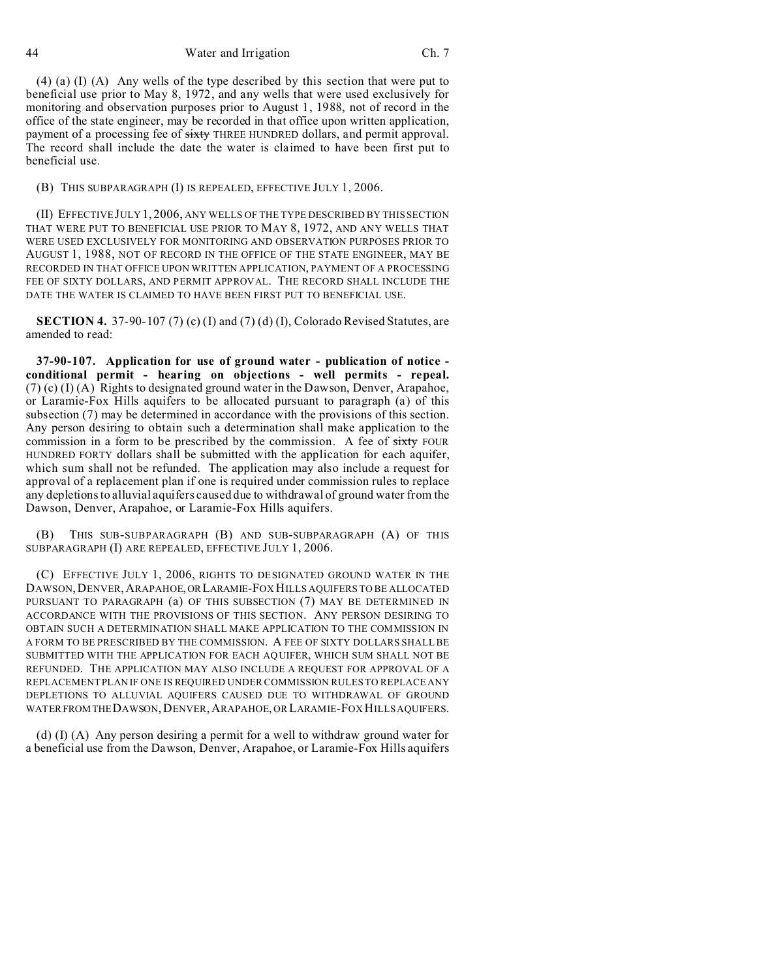44 Water and Irrigation Ch. 7

(4) (a) (I) (A) Any wells of the type described by this section that were put to beneficial use prior to May 8, 1972, and any wells that were used exclusively for monitoring and observation purposes prior to August 1, 1988, not of record in the office of the state engineer, may be recorded in that office upon written application, payment of a processing fee of sixty THREE HUNDRED dollars, and permit approval. The record shall include the date the water is claimed to have been first put to beneficial use.

(B) THIS SUBPARAGRAPH (I) IS REPEALED, EFFECTIVE JULY 1, 2006.

(II) EFFECTIVE JULY 1, 2006, ANY WELLS OF THE TYPE DESCRIBED BY THIS SECTION THAT WERE PUT TO BENEFICIAL USE PRIOR TO MAY 8, 1972, AND ANY WELLS THAT WERE USED EXCLUSIVELY FOR MONITORING AND OBSERVATION PURPOSES PRIOR TO AUGUST 1, 1988, NOT OF RECORD IN THE OFFICE OF THE STATE ENGINEER, MAY BE RECORDED IN THAT OFFICE UPON WRITTEN APPLICATION, PAYMENT OF A PROCESSING FEE OF SIXTY DOLLARS, AND PERMIT APPROVAL. THE RECORD SHALL INCLUDE THE DATE THE WATER IS CLAIMED TO HAVE BEEN FIRST PUT TO BENEFICIAL USE.

**SECTION 4.** 37-90-107 (7) (c) (I) and (7) (d) (I), Colorado Revised Statutes, are amended to read:

**37-90-107. Application for use of ground water - publication of notice conditional permit - hearing on objections - well permits - repeal.**  $(7)$  (c) (I) (A) Rights to designated ground water in the Dawson, Denver, Arapahoe, or Laramie-Fox Hills aquifers to be allocated pursuant to paragraph (a) of this subsection (7) may be determined in accordance with the provisions of this section. Any person desiring to obtain such a determination shall make application to the commission in a form to be prescribed by the commission. A fee of sixty FOUR HUNDRED FORTY dollars shall be submitted with the application for each aquifer, which sum shall not be refunded. The application may also include a request for approval of a replacement plan if one is required under commission rules to replace any depletions to alluvial aquifers caused due to withdrawal of ground water from the Dawson, Denver, Arapahoe, or Laramie-Fox Hills aquifers.

(B) THIS SUB-SUBPARAGRAPH (B) AND SUB-SUBPARAGRAPH (A) OF THIS SUBPARAGRAPH (I) ARE REPEALED, EFFECTIVE JULY 1, 2006.

(C) EFFECTIVE JULY 1, 2006, RIGHTS TO DESIGNATED GROUND WATER IN THE DAWSON,DENVER,ARAPAHOE,ORLARAMIE-FOX HILLS AQUIFERS TO BE ALLOCATED PURSUANT TO PARAGRAPH (a) OF THIS SUBSECTION (7) MAY BE DETERMINED IN ACCORDANCE WITH THE PROVISIONS OF THIS SECTION. ANY PERSON DESIRING TO OBTAIN SUCH A DETERMINATION SHALL MAKE APPLICATION TO THE COMMISSION IN A FORM TO BE PRESCRIBED BY THE COMMISSION. A FEE OF SIXTY DOLLARS SHALL BE SUBMITTED WITH THE APPLICATION FOR EACH AQUIFER, WHICH SUM SHALL NOT BE REFUNDED. THE APPLICATION MAY ALSO INCLUDE A REQUEST FOR APPROVAL OF A REPLACEMENT PLAN IF ONE IS REQUIRED UNDER COMMISSION RULES TO REPLACE ANY DEPLETIONS TO ALLUVIAL AQUIFERS CAUSED DUE TO WITHDRAWAL OF GROUND WATER FROM THE DAWSON, DENVER, ARAPAHOE, OR LARAMIE-FOX HILLS AQUIFERS.

(d) (I) (A) Any person desiring a permit for a well to withdraw ground water for a beneficial use from the Dawson, Denver, Arapahoe, or Laramie-Fox Hills aquifers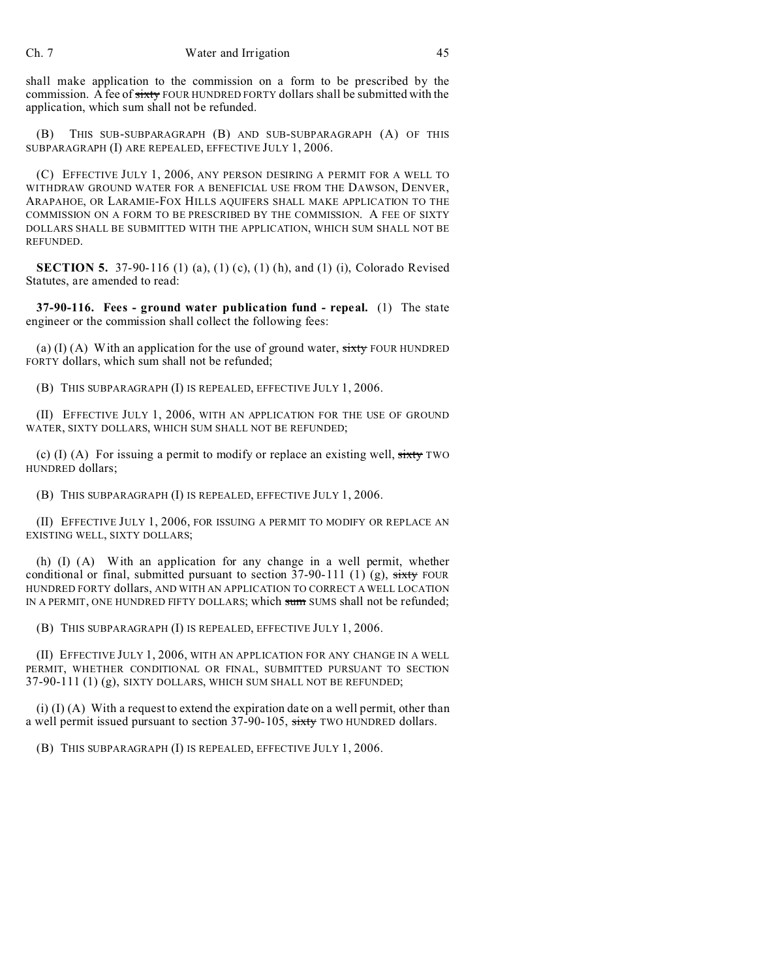shall make application to the commission on a form to be prescribed by the commission. A fee of sixty FOUR HUNDRED FORTY dollars shall be submitted with the application, which sum shall not be refunded.

(B) THIS SUB-SUBPARAGRAPH (B) AND SUB-SUBPARAGRAPH (A) OF THIS SUBPARAGRAPH (I) ARE REPEALED, EFFECTIVE JULY 1, 2006.

(C) EFFECTIVE JULY 1, 2006, ANY PERSON DESIRING A PERMIT FOR A WELL TO WITHDRAW GROUND WATER FOR A BENEFICIAL USE FROM THE DAWSON, DENVER, ARAPAHOE, OR LARAMIE-FOX HILLS AQUIFERS SHALL MAKE APPLICATION TO THE COMMISSION ON A FORM TO BE PRESCRIBED BY THE COMMISSION. A FEE OF SIXTY DOLLARS SHALL BE SUBMITTED WITH THE APPLICATION, WHICH SUM SHALL NOT BE REFUNDED.

**SECTION 5.** 37-90-116 (1) (a), (1) (c), (1) (h), and (1) (i), Colorado Revised Statutes, are amended to read:

**37-90-116. Fees - ground water publication fund - repeal.** (1) The state engineer or the commission shall collect the following fees:

(a) (I) (A) With an application for the use of ground water,  $s$ ixty FOUR HUNDRED FORTY dollars, which sum shall not be refunded;

(B) THIS SUBPARAGRAPH (I) IS REPEALED, EFFECTIVE JULY 1, 2006.

(II) EFFECTIVE JULY 1, 2006, WITH AN APPLICATION FOR THE USE OF GROUND WATER, SIXTY DOLLARS, WHICH SUM SHALL NOT BE REFUNDED;

(c) (I) (A) For issuing a permit to modify or replace an existing well,  $s$ ixty TWO HUNDRED dollars;

(B) THIS SUBPARAGRAPH (I) IS REPEALED, EFFECTIVE JULY 1, 2006.

(II) EFFECTIVE JULY 1, 2006, FOR ISSUING A PERMIT TO MODIFY OR REPLACE AN EXISTING WELL, SIXTY DOLLARS;

(h) (I) (A) With an application for any change in a well permit, whether conditional or final, submitted pursuant to section 37-90-111 (1) (g), sixty FOUR HUNDRED FORTY dollars, AND WITH AN APPLICATION TO CORRECT A WELL LOCATION IN A PERMIT, ONE HUNDRED FIFTY DOLLARS; which sum SUMS shall not be refunded;

(B) THIS SUBPARAGRAPH (I) IS REPEALED, EFFECTIVE JULY 1, 2006.

(II) EFFECTIVE JULY 1, 2006, WITH AN APPLICATION FOR ANY CHANGE IN A WELL PERMIT, WHETHER CONDITIONAL OR FINAL, SUBMITTED PURSUANT TO SECTION 37-90-111 (1) (g), SIXTY DOLLARS, WHICH SUM SHALL NOT BE REFUNDED;

(i) (I) (A) With a request to extend the expiration date on a well permit, other than a well permit issued pursuant to section 37-90-105, sixty TWO HUNDRED dollars.

(B) THIS SUBPARAGRAPH (I) IS REPEALED, EFFECTIVE JULY 1, 2006.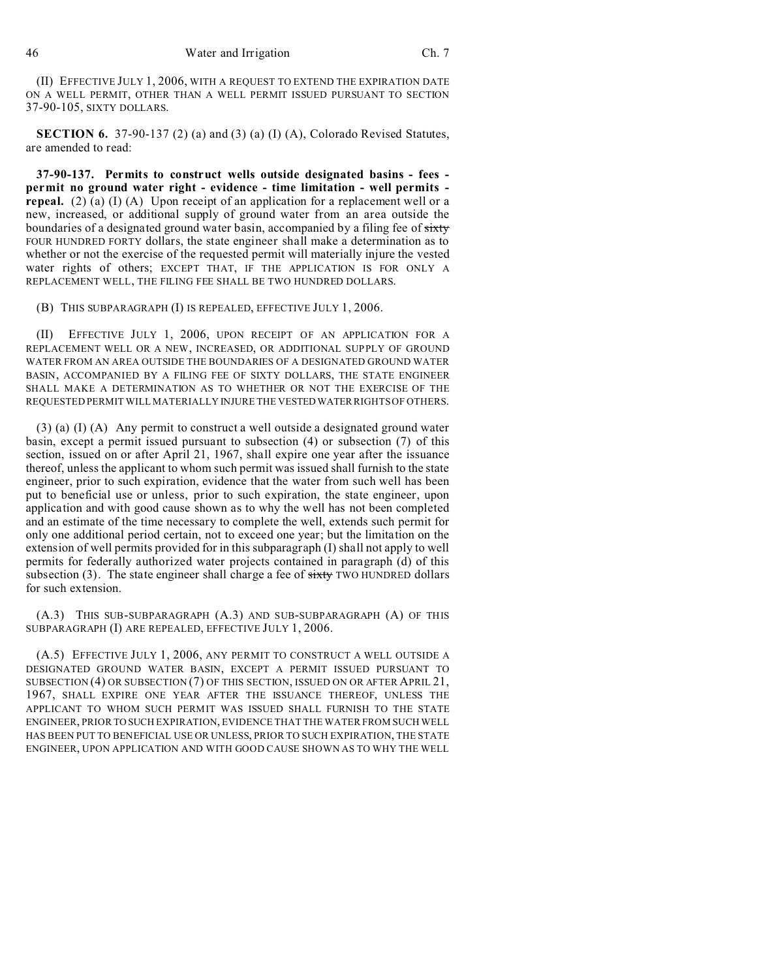(II) EFFECTIVE JULY 1, 2006, WITH A REQUEST TO EXTEND THE EXPIRATION DATE ON A WELL PERMIT, OTHER THAN A WELL PERMIT ISSUED PURSUANT TO SECTION 37-90-105, SIXTY DOLLARS.

**SECTION 6.** 37-90-137 (2) (a) and (3) (a) (I) (A), Colorado Revised Statutes, are amended to read:

**37-90-137. Permits to construct wells outside designated basins - fees permit no ground water right - evidence - time limitation - well permits repeal.** (2) (a) (I) (A) Upon receipt of an application for a replacement well or a new, increased, or additional supply of ground water from an area outside the boundaries of a designated ground water basin, accompanied by a filing fee of sixty FOUR HUNDRED FORTY dollars, the state engineer shall make a determination as to whether or not the exercise of the requested permit will materially injure the vested water rights of others; EXCEPT THAT, IF THE APPLICATION IS FOR ONLY A REPLACEMENT WELL, THE FILING FEE SHALL BE TWO HUNDRED DOLLARS.

(B) THIS SUBPARAGRAPH (I) IS REPEALED, EFFECTIVE JULY 1, 2006.

(II) EFFECTIVE JULY 1, 2006, UPON RECEIPT OF AN APPLICATION FOR A REPLACEMENT WELL OR A NEW, INCREASED, OR ADDITIONAL SUPPLY OF GROUND WATER FROM AN AREA OUTSIDE THE BOUNDARIES OF A DESIGNATED GROUND WATER BASIN, ACCOMPANIED BY A FILING FEE OF SIXTY DOLLARS, THE STATE ENGINEER SHALL MAKE A DETERMINATION AS TO WHETHER OR NOT THE EXERCISE OF THE REQUESTED PERMIT WILL MATERIALLY INJURE THE VESTEDWATER RIGHTS OF OTHERS.

(3) (a) (I) (A) Any permit to construct a well outside a designated ground water basin, except a permit issued pursuant to subsection (4) or subsection (7) of this section, issued on or after April 21, 1967, shall expire one year after the issuance thereof, unless the applicant to whom such permit was issued shall furnish to the state engineer, prior to such expiration, evidence that the water from such well has been put to beneficial use or unless, prior to such expiration, the state engineer, upon application and with good cause shown as to why the well has not been completed and an estimate of the time necessary to complete the well, extends such permit for only one additional period certain, not to exceed one year; but the limitation on the extension of well permits provided for in this subparagraph (I) shall not apply to well permits for federally authorized water projects contained in paragraph (d) of this subsection  $(3)$ . The state engineer shall charge a fee of  $s$ ixty TWO HUNDRED dollars for such extension.

(A.3) THIS SUB-SUBPARAGRAPH (A.3) AND SUB-SUBPARAGRAPH (A) OF THIS SUBPARAGRAPH (I) ARE REPEALED, EFFECTIVE JULY 1, 2006.

(A.5) EFFECTIVE JULY 1, 2006, ANY PERMIT TO CONSTRUCT A WELL OUTSIDE A DESIGNATED GROUND WATER BASIN, EXCEPT A PERMIT ISSUED PURSUANT TO SUBSECTION (4) OR SUBSECTION (7) OF THIS SECTION, ISSUED ON OR AFTER APRIL 21, 1967, SHALL EXPIRE ONE YEAR AFTER THE ISSUANCE THEREOF, UNLESS THE APPLICANT TO WHOM SUCH PERMIT WAS ISSUED SHALL FURNISH TO THE STATE ENGINEER, PRIOR TO SUCH EXPIRATION, EVIDENCE THAT THE WATER FROM SUCH WELL HAS BEEN PUT TO BENEFICIAL USE OR UNLESS, PRIOR TO SUCH EXPIRATION, THE STATE ENGINEER, UPON APPLICATION AND WITH GOOD CAUSE SHOWN AS TO WHY THE WELL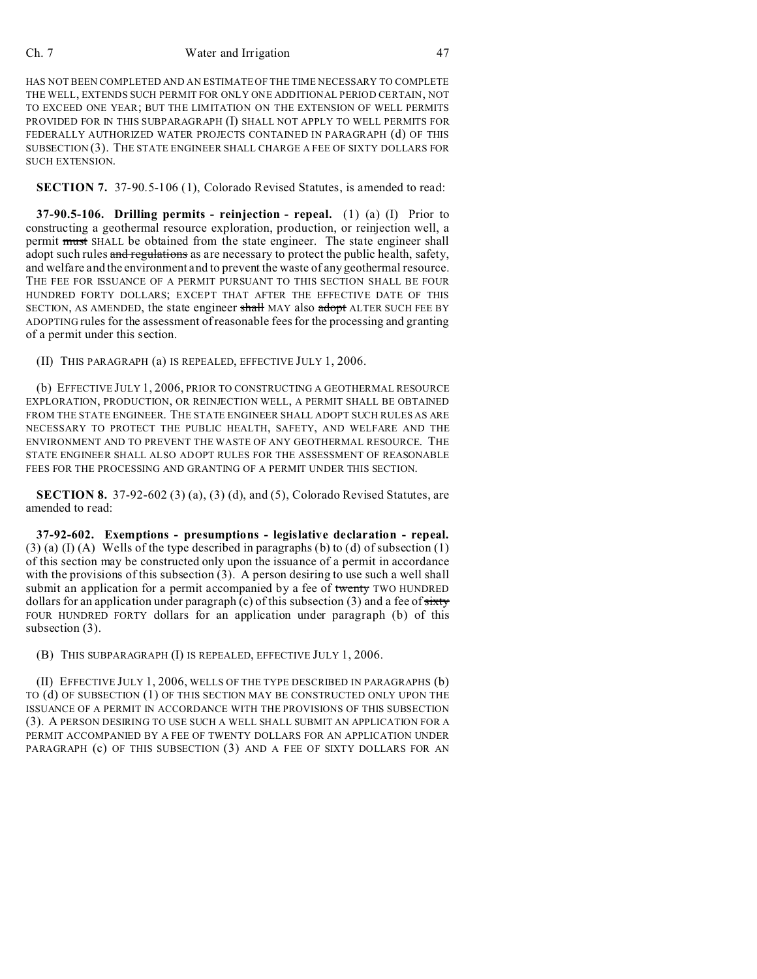### Ch. 7 Water and Irrigation 47

HAS NOT BEEN COMPLETED AND AN ESTIMATE OF THE TIME NECESSARY TO COMPLETE THE WELL, EXTENDS SUCH PERMIT FOR ONLY ONE ADDITIONAL PERIOD CERTAIN, NOT TO EXCEED ONE YEAR; BUT THE LIMITATION ON THE EXTENSION OF WELL PERMITS PROVIDED FOR IN THIS SUBPARAGRAPH (I) SHALL NOT APPLY TO WELL PERMITS FOR FEDERALLY AUTHORIZED WATER PROJECTS CONTAINED IN PARAGRAPH (d) OF THIS SUBSECTION (3). THE STATE ENGINEER SHALL CHARGE A FEE OF SIXTY DOLLARS FOR SUCH EXTENSION.

**SECTION 7.** 37-90.5-106 (1), Colorado Revised Statutes, is amended to read:

**37-90.5-106. Drilling permits - reinjection - repeal.** (1) (a) (I) Prior to constructing a geothermal resource exploration, production, or reinjection well, a permit must SHALL be obtained from the state engineer. The state engineer shall adopt such rules and regulations as are necessary to protect the public health, safety, and welfare and the environment and to prevent the waste of any geothermal resource. THE FEE FOR ISSUANCE OF A PERMIT PURSUANT TO THIS SECTION SHALL BE FOUR HUNDRED FORTY DOLLARS; EXCEPT THAT AFTER THE EFFECTIVE DATE OF THIS SECTION, AS AMENDED, the state engineer shall MAY also adopt ALTER SUCH FEE BY ADOPTING rules for the assessment of reasonable fees for the processing and granting of a permit under this section.

(II) THIS PARAGRAPH (a) IS REPEALED, EFFECTIVE JULY 1, 2006.

(b) EFFECTIVE JULY 1, 2006, PRIOR TO CONSTRUCTING A GEOTHERMAL RESOURCE EXPLORATION, PRODUCTION, OR REINJECTION WELL, A PERMIT SHALL BE OBTAINED FROM THE STATE ENGINEER. THE STATE ENGINEER SHALL ADOPT SUCH RULES AS ARE NECESSARY TO PROTECT THE PUBLIC HEALTH, SAFETY, AND WELFARE AND THE ENVIRONMENT AND TO PREVENT THE WASTE OF ANY GEOTHERMAL RESOURCE. THE STATE ENGINEER SHALL ALSO ADOPT RULES FOR THE ASSESSMENT OF REASONABLE FEES FOR THE PROCESSING AND GRANTING OF A PERMIT UNDER THIS SECTION.

**SECTION 8.** 37-92-602 (3) (a), (3) (d), and (5), Colorado Revised Statutes, are amended to read:

**37-92-602. Exemptions - presumptions - legislative declaration - repeal.**  $(3)$  (a) (I) (A) Wells of the type described in paragraphs (b) to (d) of subsection (1) of this section may be constructed only upon the issuance of a permit in accordance with the provisions of this subsection  $(3)$ . A person desiring to use such a well shall submit an application for a permit accompanied by a fee of twenty TWO HUNDRED dollars for an application under paragraph (c) of this subsection (3) and a fee of  $s$ ixty FOUR HUNDRED FORTY dollars for an application under paragraph (b) of this subsection (3).

(B) THIS SUBPARAGRAPH (I) IS REPEALED, EFFECTIVE JULY 1, 2006.

(II) EFFECTIVE JULY 1, 2006, WELLS OF THE TYPE DESCRIBED IN PARAGRAPHS (b) TO (d) OF SUBSECTION (1) OF THIS SECTION MAY BE CONSTRUCTED ONLY UPON THE ISSUANCE OF A PERMIT IN ACCORDANCE WITH THE PROVISIONS OF THIS SUBSECTION (3). A PERSON DESIRING TO USE SUCH A WELL SHALL SUBMIT AN APPLICATION FOR A PERMIT ACCOMPANIED BY A FEE OF TWENTY DOLLARS FOR AN APPLICATION UNDER PARAGRAPH (c) OF THIS SUBSECTION (3) AND A FEE OF SIXTY DOLLARS FOR AN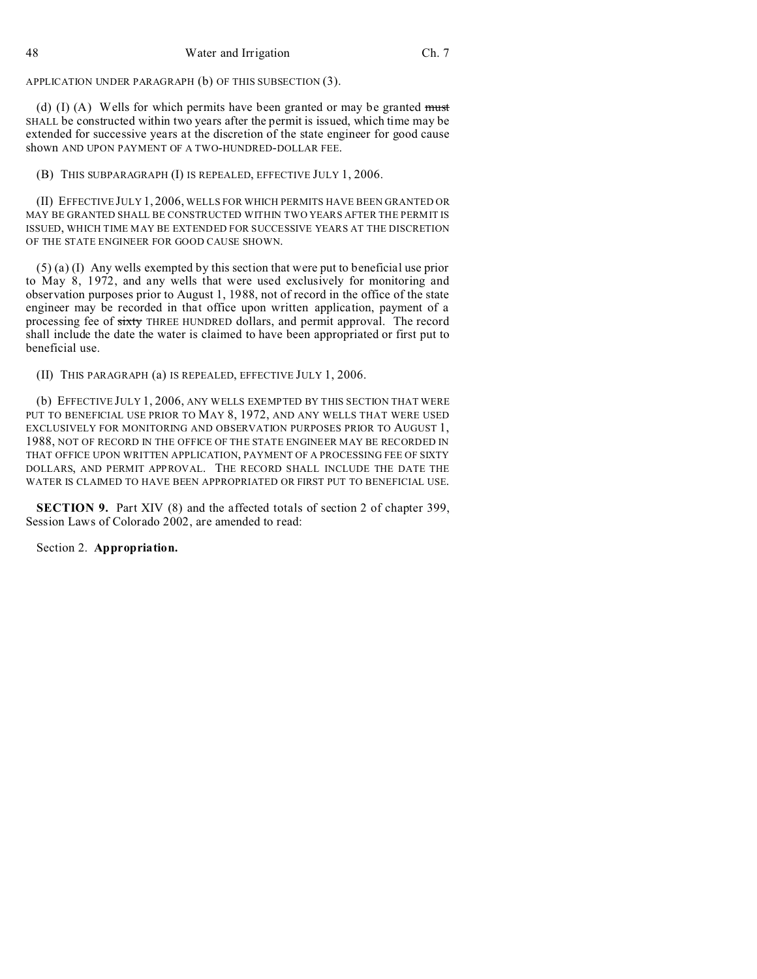48 Water and Irrigation Ch. 7

APPLICATION UNDER PARAGRAPH (b) OF THIS SUBSECTION (3).

(d)  $(I)$  (A) Wells for which permits have been granted or may be granted must SHALL be constructed within two years after the permit is issued, which time may be extended for successive years at the discretion of the state engineer for good cause shown AND UPON PAYMENT OF A TWO-HUNDRED-DOLLAR FEE.

(B) THIS SUBPARAGRAPH (I) IS REPEALED, EFFECTIVE JULY 1, 2006.

(II) EFFECTIVE JULY 1, 2006, WELLS FOR WHICH PERMITS HAVE BEEN GRANTED OR MAY BE GRANTED SHALL BE CONSTRUCTED WITHIN TWO YEARS AFTER THE PERMIT IS ISSUED, WHICH TIME MAY BE EXTENDED FOR SUCCESSIVE YEARS AT THE DISCRETION OF THE STATE ENGINEER FOR GOOD CAUSE SHOWN.

(5) (a) (I) Any wells exempted by this section that were put to beneficial use prior to May 8, 1972, and any wells that were used exclusively for monitoring and observation purposes prior to August 1, 1988, not of record in the office of the state engineer may be recorded in that office upon written application, payment of a processing fee of sixty THREE HUNDRED dollars, and permit approval. The record shall include the date the water is claimed to have been appropriated or first put to beneficial use.

(II) THIS PARAGRAPH (a) IS REPEALED, EFFECTIVE JULY 1, 2006.

(b) EFFECTIVE JULY 1, 2006, ANY WELLS EXEMPTED BY THIS SECTION THAT WERE PUT TO BENEFICIAL USE PRIOR TO MAY 8, 1972, AND ANY WELLS THAT WERE USED EXCLUSIVELY FOR MONITORING AND OBSERVATION PURPOSES PRIOR TO AUGUST 1, 1988, NOT OF RECORD IN THE OFFICE OF THE STATE ENGINEER MAY BE RECORDED IN THAT OFFICE UPON WRITTEN APPLICATION, PAYMENT OF A PROCESSING FEE OF SIXTY DOLLARS, AND PERMIT APPROVAL. THE RECORD SHALL INCLUDE THE DATE THE WATER IS CLAIMED TO HAVE BEEN APPROPRIATED OR FIRST PUT TO BENEFICIAL USE.

**SECTION 9.** Part XIV (8) and the affected totals of section 2 of chapter 399, Session Laws of Colorado 2002, are amended to read:

Section 2. **Appropriation.**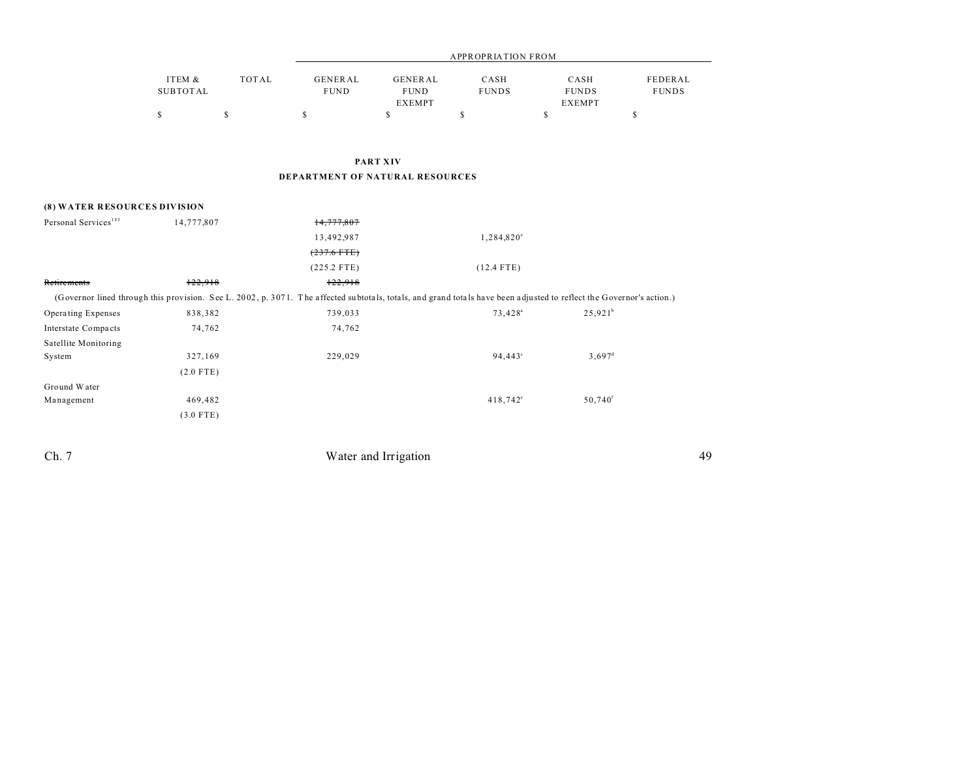|          |       |                | APPROPRIATION FROM |              |               |              |  |  |
|----------|-------|----------------|--------------------|--------------|---------------|--------------|--|--|
| ITEM &   | TOTAL | <b>GENERAL</b> | GENERAL            | CASH         | CASH          | FEDERAL      |  |  |
| SUBTOTAL |       | <b>FUND</b>    | <b>FUND</b>        | <b>FUNDS</b> | <b>FUNDS</b>  | <b>FUNDS</b> |  |  |
|          |       |                | <b>EXEMPT</b>      |              | <b>EXEMPT</b> |              |  |  |
|          |       |                |                    |              |               |              |  |  |

## **PART XIV DEPARTMENT OF NATURAL RESOURCES**

### **(8) WATER RESOURCES DIVISION**

| Personal Services <sup>183</sup> | 14,777,807  | 14,777,807                                                                                                                                                           |                     |                       |  |
|----------------------------------|-------------|----------------------------------------------------------------------------------------------------------------------------------------------------------------------|---------------------|-----------------------|--|
|                                  |             | 13,492,987                                                                                                                                                           | 1,284,820°          |                       |  |
|                                  |             | $(237.6$ FTE)                                                                                                                                                        |                     |                       |  |
|                                  |             | $(225.2$ FTE)                                                                                                                                                        | $(12.4$ FTE)        |                       |  |
| Retirements                      | 122.918     | 122,918                                                                                                                                                              |                     |                       |  |
|                                  |             | (Governor lined through this provision. See L. 2002, p. 3071. The affected subtotals, totals, and grand totals have been adjusted to reflect the Governor's action.) |                     |                       |  |
| Operating Expenses               | 838,382     | 739,033                                                                                                                                                              | 73,428 <sup>a</sup> | $25,921^b$            |  |
| Interstate Compacts              | 74,762      | 74,762                                                                                                                                                               |                     |                       |  |
| Satellite Monitoring             |             |                                                                                                                                                                      |                     |                       |  |
| System                           | 327,169     | 229,029                                                                                                                                                              | $94,443^{\circ}$    | $3,697^{\rm d}$       |  |
|                                  | $(2.0$ FTE) |                                                                                                                                                                      |                     |                       |  |
| Ground Water                     |             |                                                                                                                                                                      |                     |                       |  |
| Management                       | 469,482     |                                                                                                                                                                      | $418,742^{\circ}$   | $50,740$ <sup>f</sup> |  |
|                                  | $(3.0$ FTE) |                                                                                                                                                                      |                     |                       |  |

Ch. 7 Water and Irrigation 49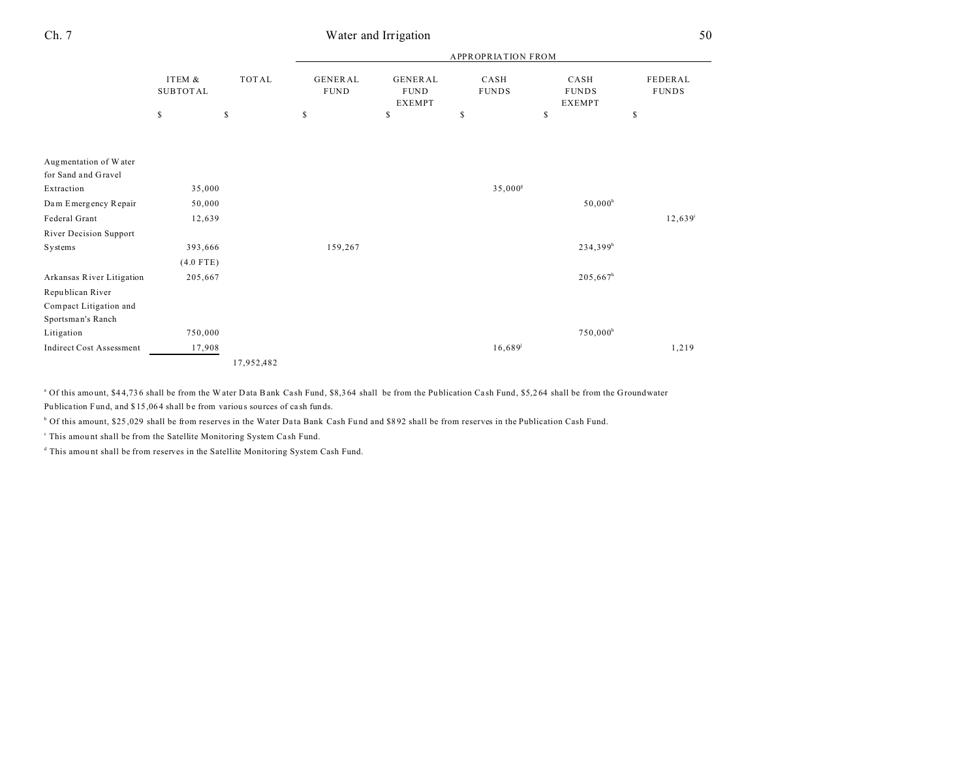|                           |                           |              | <b>APPROPRIATION FROM</b>     |                                                |                      |                                       |                                |  |
|---------------------------|---------------------------|--------------|-------------------------------|------------------------------------------------|----------------------|---------------------------------------|--------------------------------|--|
|                           | ITEM &<br><b>SUBTOTAL</b> | <b>TOTAL</b> | <b>GENERAL</b><br><b>FUND</b> | <b>GENERAL</b><br><b>FUND</b><br><b>EXEMPT</b> | CASH<br><b>FUNDS</b> | CASH<br><b>FUNDS</b><br><b>EXEMPT</b> | <b>FEDERAL</b><br><b>FUNDS</b> |  |
|                           | \$                        | \$           | \$                            | \$                                             | \$                   | \$                                    | \$                             |  |
| Augmentation of Water     |                           |              |                               |                                                |                      |                                       |                                |  |
| for Sand and Gravel       |                           |              |                               |                                                |                      |                                       |                                |  |
| Extraction                | 35,000                    |              |                               |                                                | 35,000 <sup>8</sup>  |                                       |                                |  |
| Dam Emergency Repair      | 50,000                    |              |                               |                                                |                      | $50,000^{\rm h}$                      |                                |  |
| Federal Grant             | 12,639                    |              |                               |                                                |                      |                                       | $12,639$ <sup>i</sup>          |  |
| River Decision Support    |                           |              |                               |                                                |                      |                                       |                                |  |
| Systems                   | 393,666                   |              | 159,267                       |                                                |                      | 234,399 <sup>h</sup>                  |                                |  |
|                           | $(4.0$ FTE)               |              |                               |                                                |                      |                                       |                                |  |
| Arkansas River Litigation | 205,667                   |              |                               |                                                |                      | $205,667^h$                           |                                |  |
| Republican River          |                           |              |                               |                                                |                      |                                       |                                |  |
| Compact Litigation and    |                           |              |                               |                                                |                      |                                       |                                |  |
| Sportsman's Ranch         |                           |              |                               |                                                |                      |                                       |                                |  |
| Litigation                | 750,000                   |              |                               |                                                |                      | $750,000^h$                           |                                |  |
| Indirect Cost Assessment  | 17,908                    |              |                               |                                                | 16,689               |                                       | 1,219                          |  |
|                           |                           | 17,952,482   |                               |                                                |                      |                                       |                                |  |

<sup>a</sup> Of this amount, \$44,736 shall be from the W ater Data Bank Cash Fund, \$8,364 shall be from the Publication Cash Fund, \$5,264 shall be from the Groundwater Publication Fund, and \$15,064 shall be from various sources of cash funds.

<sup>b</sup> Of this amount, \$25,029 shall be from reserves in the Water Data Bank Cash Fund and \$892 shall be from reserves in the Publication Cash Fund.

<sup>c</sup> This amount shall be from the Satellite Monitoring System Cash Fund.

<sup>d</sup> This amount shall be from reserves in the Satellite Monitoring System Cash Fund.

## Ch. 7 Water and Irrigation 50